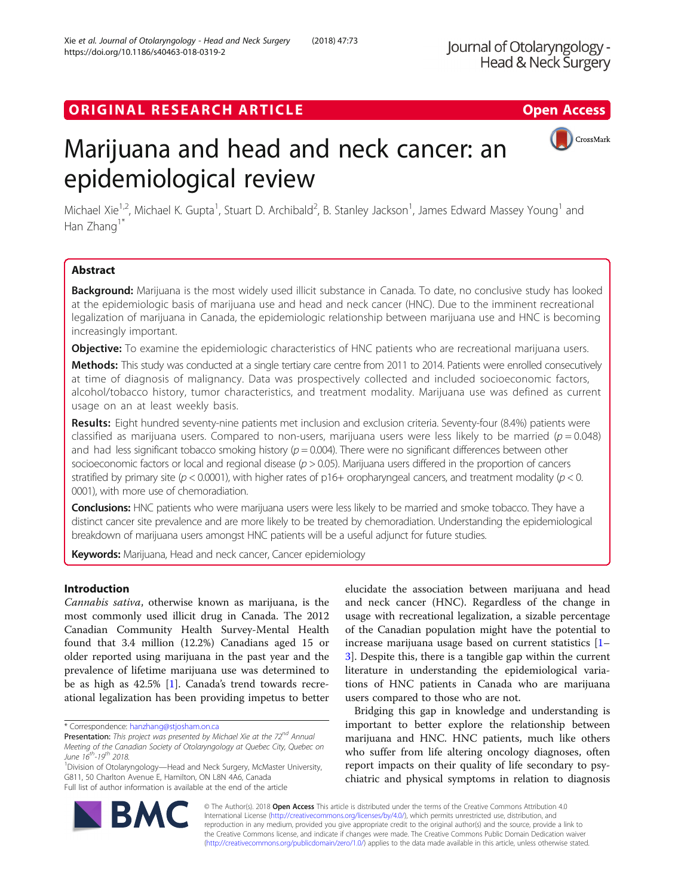# ORIGINAL RESEARCH ARTICLE **Solution Contract Contract Contract Contract Contract Contract Contract Contract Contract Contract Contract Contract Contract Contract Contract Contract Contract Contract Contract Contract Contra**



# Marijuana and head and neck cancer: an epidemiological review

Michael Xie<sup>1,2</sup>, Michael K. Gupta<sup>1</sup>, Stuart D. Archibald<sup>2</sup>, B. Stanley Jackson<sup>1</sup>, James Edward Massey Young<sup>1</sup> and Han Zhang<sup>1\*</sup>

# Abstract

Background: Marijuana is the most widely used illicit substance in Canada. To date, no conclusive study has looked at the epidemiologic basis of marijuana use and head and neck cancer (HNC). Due to the imminent recreational legalization of marijuana in Canada, the epidemiologic relationship between marijuana use and HNC is becoming increasingly important.

**Objective:** To examine the epidemiologic characteristics of HNC patients who are recreational marijuana users.

Methods: This study was conducted at a single tertiary care centre from 2011 to 2014. Patients were enrolled consecutively at time of diagnosis of malignancy. Data was prospectively collected and included socioeconomic factors, alcohol/tobacco history, tumor characteristics, and treatment modality. Marijuana use was defined as current usage on an at least weekly basis.

Results: Eight hundred seventy-nine patients met inclusion and exclusion criteria. Seventy-four (8.4%) patients were classified as marijuana users. Compared to non-users, marijuana users were less likely to be married ( $p = 0.048$ ) and had less significant tobacco smoking history ( $p = 0.004$ ). There were no significant differences between other socioeconomic factors or local and regional disease ( $p > 0.05$ ). Marijuana users differed in the proportion of cancers stratified by primary site ( $p < 0.0001$ ), with higher rates of p16+ oropharyngeal cancers, and treatment modality ( $p < 0$ . 0001), with more use of chemoradiation.

Conclusions: HNC patients who were marijuana users were less likely to be married and smoke tobacco. They have a distinct cancer site prevalence and are more likely to be treated by chemoradiation. Understanding the epidemiological breakdown of marijuana users amongst HNC patients will be a useful adjunct for future studies.

Keywords: Marijuana, Head and neck cancer, Cancer epidemiology

# Introduction

Cannabis sativa, otherwise known as marijuana, is the most commonly used illicit drug in Canada. The 2012 Canadian Community Health Survey-Mental Health found that 3.4 million (12.2%) Canadians aged 15 or older reported using marijuana in the past year and the prevalence of lifetime marijuana use was determined to be as high as 42.5% [\[1](#page-5-0)]. Canada's trend towards recreational legalization has been providing impetus to better

\* Correspondence: [hanzhang@stjosham.on.ca](mailto:hanzhang@stjosham.on.ca)

Division of Otolaryngology—Head and Neck Surgery, McMaster University, G811, 50 Charlton Avenue E, Hamilton, ON L8N 4A6, Canada Full list of author information is available at the end of the article

elucidate the association between marijuana and head and neck cancer (HNC). Regardless of the change in usage with recreational legalization, a sizable percentage of the Canadian population might have the potential to increase marijuana usage based on current statistics  $[1]$  $[1]$  $[1]$ [3\]](#page-5-0). Despite this, there is a tangible gap within the current literature in understanding the epidemiological variations of HNC patients in Canada who are marijuana users compared to those who are not.

Bridging this gap in knowledge and understanding is important to better explore the relationship between marijuana and HNC. HNC patients, much like others who suffer from life altering oncology diagnoses, often report impacts on their quality of life secondary to psychiatric and physical symptoms in relation to diagnosis



© The Author(s). 2018 Open Access This article is distributed under the terms of the Creative Commons Attribution 4.0 International License [\(http://creativecommons.org/licenses/by/4.0/](http://creativecommons.org/licenses/by/4.0/)), which permits unrestricted use, distribution, and reproduction in any medium, provided you give appropriate credit to the original author(s) and the source, provide a link to the Creative Commons license, and indicate if changes were made. The Creative Commons Public Domain Dedication waiver [\(http://creativecommons.org/publicdomain/zero/1.0/](http://creativecommons.org/publicdomain/zero/1.0/)) applies to the data made available in this article, unless otherwise stated.

Presentation: This project was presented by Michael Xie at the 72<sup>nd</sup> Annual Meeting of the Canadian Society of Otolaryngology at Quebec City, Quebec on June 16<sup>th</sup>-19<sup>th</sup> 2018.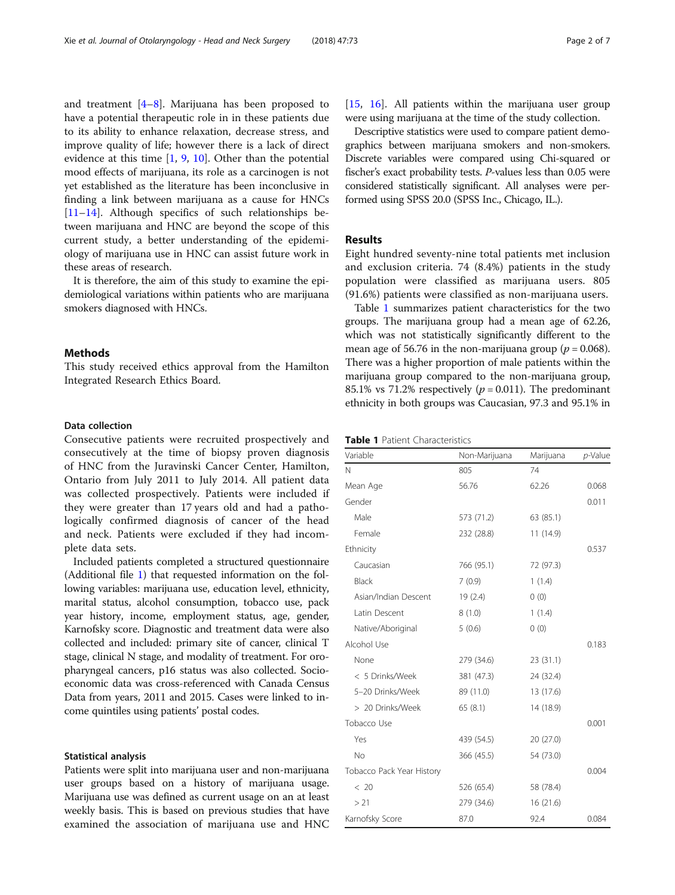and treatment [[4](#page-5-0)–[8](#page-5-0)]. Marijuana has been proposed to have a potential therapeutic role in in these patients due to its ability to enhance relaxation, decrease stress, and improve quality of life; however there is a lack of direct evidence at this time [\[1](#page-5-0), [9,](#page-5-0) [10](#page-5-0)]. Other than the potential mood effects of marijuana, its role as a carcinogen is not yet established as the literature has been inconclusive in finding a link between marijuana as a cause for HNCs  $[11–14]$  $[11–14]$  $[11–14]$  $[11–14]$  $[11–14]$ . Although specifics of such relationships between marijuana and HNC are beyond the scope of this current study, a better understanding of the epidemiology of marijuana use in HNC can assist future work in these areas of research.

It is therefore, the aim of this study to examine the epidemiological variations within patients who are marijuana smokers diagnosed with HNCs.

# **Methods**

This study received ethics approval from the Hamilton Integrated Research Ethics Board.

#### Data collection

Consecutive patients were recruited prospectively and consecutively at the time of biopsy proven diagnosis of HNC from the Juravinski Cancer Center, Hamilton, Ontario from July 2011 to July 2014. All patient data was collected prospectively. Patients were included if they were greater than 17 years old and had a pathologically confirmed diagnosis of cancer of the head and neck. Patients were excluded if they had incomplete data sets.

Included patients completed a structured questionnaire (Additional file [1](#page-5-0)) that requested information on the following variables: marijuana use, education level, ethnicity, marital status, alcohol consumption, tobacco use, pack year history, income, employment status, age, gender, Karnofsky score. Diagnostic and treatment data were also collected and included: primary site of cancer, clinical T stage, clinical N stage, and modality of treatment. For oropharyngeal cancers, p16 status was also collected. Socioeconomic data was cross-referenced with Canada Census Data from years, 2011 and 2015. Cases were linked to income quintiles using patients' postal codes.

#### Statistical analysis

Patients were split into marijuana user and non-marijuana user groups based on a history of marijuana usage. Marijuana use was defined as current usage on an at least weekly basis. This is based on previous studies that have examined the association of marijuana use and HNC [[15,](#page-5-0) [16](#page-5-0)]. All patients within the marijuana user group were using marijuana at the time of the study collection.

Descriptive statistics were used to compare patient demographics between marijuana smokers and non-smokers. Discrete variables were compared using Chi-squared or fischer's exact probability tests. P-values less than 0.05 were considered statistically significant. All analyses were performed using SPSS 20.0 (SPSS Inc., Chicago, IL.).

# Results

Eight hundred seventy-nine total patients met inclusion and exclusion criteria. 74 (8.4%) patients in the study population were classified as marijuana users. 805 (91.6%) patients were classified as non-marijuana users.

Table 1 summarizes patient characteristics for the two groups. The marijuana group had a mean age of 62.26, which was not statistically significantly different to the mean age of 56.76 in the non-marijuana group ( $p = 0.068$ ). There was a higher proportion of male patients within the marijuana group compared to the non-marijuana group, 85.1% vs 71.2% respectively ( $p = 0.011$ ). The predominant ethnicity in both groups was Caucasian, 97.3 and 95.1% in

#### **Table 1** Patient Characteristics

| Variable                  | Non-Marijuana | Marijuana | $p$ -Value |
|---------------------------|---------------|-----------|------------|
| N                         | 805           | 74        |            |
| Mean Age                  | 56.76         | 62.26     | 0.068      |
| Gender                    |               |           | 0.011      |
| Male                      | 573 (71.2)    | 63 (85.1) |            |
| Female                    | 232 (28.8)    | 11 (14.9) |            |
| Ethnicity                 |               |           | 0.537      |
| Caucasian                 | 766 (95.1)    | 72 (97.3) |            |
| Black                     | 7(0.9)        | 1(1.4)    |            |
| Asian/Indian Descent      | 19(2.4)       | 0(0)      |            |
| Latin Descent             | 8(1.0)        | 1(1.4)    |            |
| Native/Aboriginal         | 5(0.6)        | 0(0)      |            |
| Alcohol Use               |               |           | 0.183      |
| None                      | 279 (34.6)    | 23 (31.1) |            |
| < 5 Drinks/Week           | 381 (47.3)    | 24 (32.4) |            |
| 5-20 Drinks/Week          | 89 (11.0)     | 13 (17.6) |            |
| > 20 Drinks/Week          | 65(8.1)       | 14 (18.9) |            |
| Tobacco Use               |               |           | 0.001      |
| Yes                       | 439 (54.5)    | 20 (27.0) |            |
| No                        | 366 (45.5)    | 54 (73.0) |            |
| Tobacco Pack Year History |               |           | 0.004      |
| < 20                      | 526 (65.4)    | 58 (78.4) |            |
| > 21                      | 279 (34.6)    | 16(21.6)  |            |
| Karnofsky Score           | 87.0          | 92.4      | 0.084      |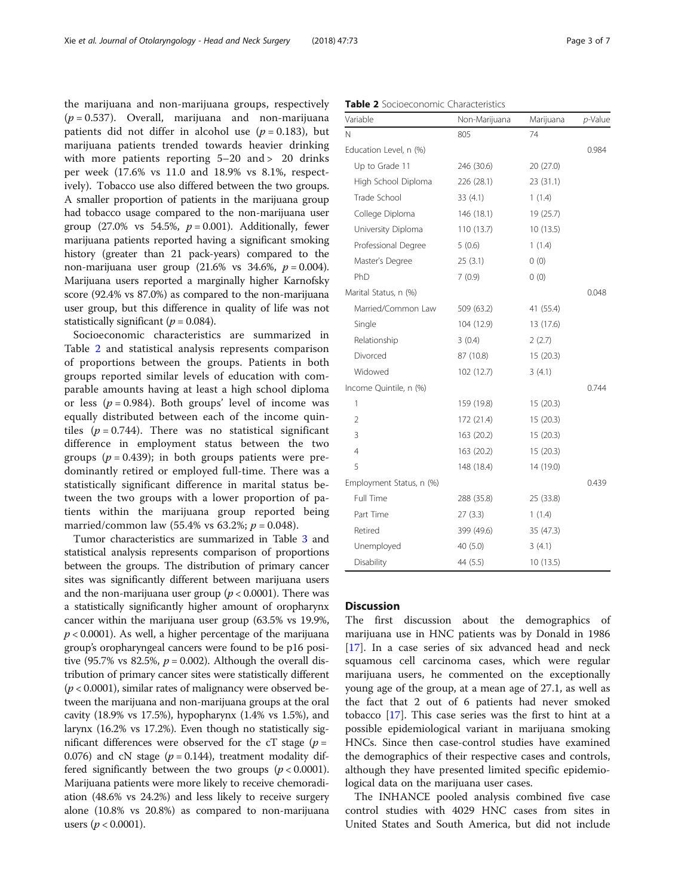the marijuana and non-marijuana groups, respectively  $(p = 0.537)$ . Overall, marijuana and non-marijuana patients did not differ in alcohol use  $(p = 0.183)$ , but marijuana patients trended towards heavier drinking with more patients reporting 5-20 and > 20 drinks per week (17.6% vs 11.0 and 18.9% vs 8.1%, respectively). Tobacco use also differed between the two groups. A smaller proportion of patients in the marijuana group had tobacco usage compared to the non-marijuana user group (27.0% vs 54.5%,  $p = 0.001$ ). Additionally, fewer marijuana patients reported having a significant smoking history (greater than 21 pack-years) compared to the non-marijuana user group  $(21.6\% \text{ vs } 34.6\%, p = 0.004)$ . Marijuana users reported a marginally higher Karnofsky score (92.4% vs 87.0%) as compared to the non-marijuana user group, but this difference in quality of life was not statistically significant ( $p = 0.084$ ).

Socioeconomic characteristics are summarized in Table 2 and statistical analysis represents comparison of proportions between the groups. Patients in both groups reported similar levels of education with comparable amounts having at least a high school diploma or less ( $p = 0.984$ ). Both groups' level of income was equally distributed between each of the income quintiles ( $p = 0.744$ ). There was no statistical significant difference in employment status between the two groups ( $p = 0.439$ ); in both groups patients were predominantly retired or employed full-time. There was a statistically significant difference in marital status between the two groups with a lower proportion of patients within the marijuana group reported being married/common law (55.4% vs 63.2%;  $p = 0.048$ ).

Tumor characteristics are summarized in Table [3](#page-3-0) and statistical analysis represents comparison of proportions between the groups. The distribution of primary cancer sites was significantly different between marijuana users and the non-marijuana user group ( $p < 0.0001$ ). There was a statistically significantly higher amount of oropharynx cancer within the marijuana user group (63.5% vs 19.9%,  $p < 0.0001$ ). As well, a higher percentage of the marijuana group's oropharyngeal cancers were found to be p16 positive (95.7% vs 82.5%,  $p = 0.002$ ). Although the overall distribution of primary cancer sites were statistically different  $(p < 0.0001)$ , similar rates of malignancy were observed between the marijuana and non-marijuana groups at the oral cavity (18.9% vs 17.5%), hypopharynx (1.4% vs 1.5%), and larynx (16.2% vs 17.2%). Even though no statistically significant differences were observed for the cT stage ( $p =$ 0.076) and cN stage ( $p = 0.144$ ), treatment modality differed significantly between the two groups  $(p < 0.0001)$ . Marijuana patients were more likely to receive chemoradiation (48.6% vs 24.2%) and less likely to receive surgery alone (10.8% vs 20.8%) as compared to non-marijuana users  $(p < 0.0001)$ .

| <b>Table 2</b> Socioeconomic Characteristics |  |
|----------------------------------------------|--|
|                                              |  |

| Variable                 | Non-Marijuana | Marijuana | p-Value |
|--------------------------|---------------|-----------|---------|
| N                        | 805           | 74        |         |
| Education Level, n (%)   |               |           | 0.984   |
| Up to Grade 11           | 246 (30.6)    | 20(27.0)  |         |
| High School Diploma      | 226 (28.1)    | 23(31.1)  |         |
| Trade School             | 33(4.1)       | 1(1.4)    |         |
| College Diploma          | 146 (18.1)    | 19 (25.7) |         |
| University Diploma       | 110(13.7)     | 10(13.5)  |         |
| Professional Degree      | 5(0.6)        | 1(1.4)    |         |
| Master's Degree          | 25(3.1)       | 0(0)      |         |
| PhD                      | 7(0.9)        | 0(0)      |         |
| Marital Status, n (%)    |               |           | 0.048   |
| Married/Common Law       | 509 (63.2)    | 41 (55.4) |         |
| Single                   | 104 (12.9)    | 13 (17.6) |         |
| Relationship             | 3(0.4)        | 2(2.7)    |         |
| Divorced                 | 87 (10.8)     | 15(20.3)  |         |
| Widowed                  | 102 (12.7)    | 3(4.1)    |         |
| Income Quintile, n (%)   |               |           | 0.744   |
| 1                        | 159 (19.8)    | 15(20.3)  |         |
| 2                        | 172 (21.4)    | 15(20.3)  |         |
| 3                        | 163(20.2)     | 15(20.3)  |         |
| 4                        | 163 (20.2)    | 15(20.3)  |         |
| 5                        | 148 (18.4)    | 14 (19.0) |         |
| Employment Status, n (%) |               |           | 0.439   |
| Full Time                | 288 (35.8)    | 25 (33.8) |         |
| Part Time                | 27(3.3)       | 1(1.4)    |         |
| Retired                  | 399 (49.6)    | 35 (47.3) |         |
| Unemployed               | 40 (5.0)      | 3(4.1)    |         |
| Disability               | 44 (5.5)      | 10(13.5)  |         |

# **Discussion**

The first discussion about the demographics of marijuana use in HNC patients was by Donald in 1986 [[17\]](#page-5-0). In a case series of six advanced head and neck squamous cell carcinoma cases, which were regular marijuana users, he commented on the exceptionally young age of the group, at a mean age of 27.1, as well as the fact that 2 out of 6 patients had never smoked tobacco [[17\]](#page-5-0). This case series was the first to hint at a possible epidemiological variant in marijuana smoking HNCs. Since then case-control studies have examined the demographics of their respective cases and controls, although they have presented limited specific epidemiological data on the marijuana user cases.

The INHANCE pooled analysis combined five case control studies with 4029 HNC cases from sites in United States and South America, but did not include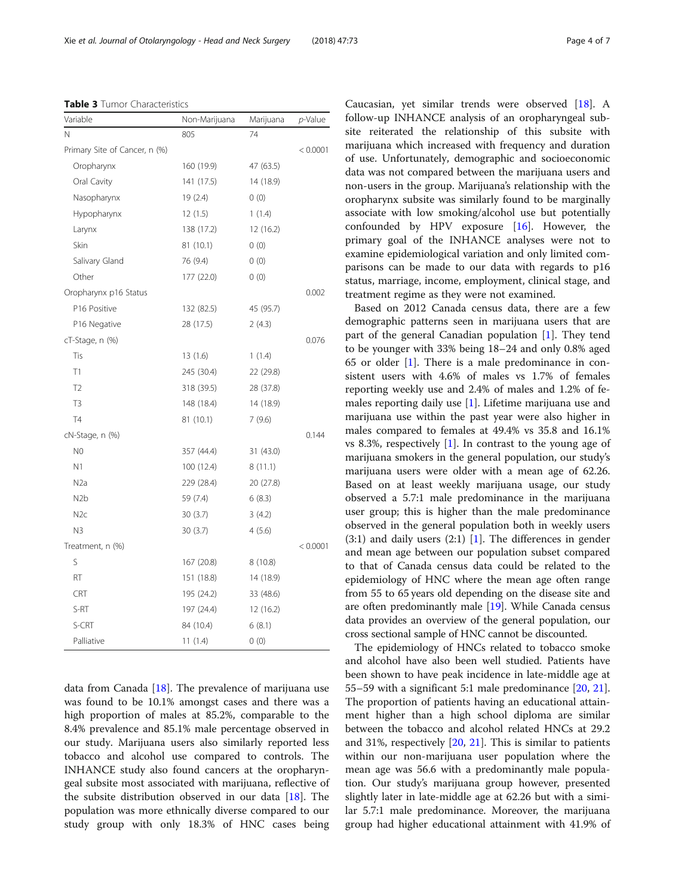<span id="page-3-0"></span>

|  |  |  |  | <b>Table 3</b> Tumor Characteristics |
|--|--|--|--|--------------------------------------|
|--|--|--|--|--------------------------------------|

| Variable                      | Non-Marijuana | Marijuana | p-Value  |
|-------------------------------|---------------|-----------|----------|
| N                             | 805           | 74        |          |
| Primary Site of Cancer, n (%) |               |           | < 0.0001 |
| Oropharynx                    | 160 (19.9)    | 47 (63.5) |          |
| Oral Cavity                   | 141 (17.5)    | 14 (18.9) |          |
| Nasopharynx                   | 19 (2.4)      | 0(0)      |          |
| Hypopharynx                   | 12 (1.5)      | 1(1.4)    |          |
| Larynx                        | 138 (17.2)    | 12 (16.2) |          |
| Skin                          | 81 (10.1)     | 0(0)      |          |
| Salivary Gland                | 76 (9.4)      | 0(0)      |          |
| Other                         | 177 (22.0)    | 0(0)      |          |
| Oropharynx p16 Status         |               |           | 0.002    |
| P16 Positive                  | 132 (82.5)    | 45 (95.7) |          |
| P16 Negative                  | 28 (17.5)     | 2(4.3)    |          |
| cT-Stage, n (%)               |               |           | 0.076    |
| Tis                           | 13(1.6)       | 1(1.4)    |          |
| T1                            | 245 (30.4)    | 22 (29.8) |          |
| T <sub>2</sub>                | 318 (39.5)    | 28 (37.8) |          |
| T <sub>3</sub>                | 148 (18.4)    | 14 (18.9) |          |
| <b>T4</b>                     | 81 (10.1)     | 7(9.6)    |          |
| cN-Stage, n (%)               |               |           | 0.144    |
| N <sub>0</sub>                | 357 (44.4)    | 31 (43.0) |          |
| N <sub>1</sub>                | 100 (12.4)    | 8(11.1)   |          |
| N <sub>2</sub> a              | 229 (28.4)    | 20 (27.8) |          |
| N <sub>2</sub> b              | 59 (7.4)      | 6(8.3)    |          |
| N <sub>2c</sub>               | 30(3.7)       | 3(4.2)    |          |
| N <sub>3</sub>                | 30(3.7)       | 4(5.6)    |          |
| Treatment, n (%)              |               |           | < 0.0001 |
| S                             | 167 (20.8)    | 8(10.8)   |          |
| RT                            | 151 (18.8)    | 14 (18.9) |          |
| <b>CRT</b>                    | 195 (24.2)    | 33 (48.6) |          |
| S-RT                          | 197 (24.4)    | 12 (16.2) |          |
| S-CRT                         | 84 (10.4)     | 6(8.1)    |          |
| Palliative                    | 11(1.4)       | 0(0)      |          |

data from Canada  $[18]$  $[18]$ . The prevalence of marijuana use was found to be 10.1% amongst cases and there was a high proportion of males at 85.2%, comparable to the 8.4% prevalence and 85.1% male percentage observed in our study. Marijuana users also similarly reported less tobacco and alcohol use compared to controls. The INHANCE study also found cancers at the oropharyngeal subsite most associated with marijuana, reflective of the subsite distribution observed in our data [[18\]](#page-5-0). The population was more ethnically diverse compared to our study group with only 18.3% of HNC cases being

Caucasian, yet similar trends were observed [\[18](#page-5-0)]. A follow-up INHANCE analysis of an oropharyngeal subsite reiterated the relationship of this subsite with marijuana which increased with frequency and duration of use. Unfortunately, demographic and socioeconomic data was not compared between the marijuana users and non-users in the group. Marijuana's relationship with the oropharynx subsite was similarly found to be marginally associate with low smoking/alcohol use but potentially confounded by HPV exposure [[16\]](#page-5-0). However, the primary goal of the INHANCE analyses were not to examine epidemiological variation and only limited comparisons can be made to our data with regards to p16 status, marriage, income, employment, clinical stage, and treatment regime as they were not examined.

Based on 2012 Canada census data, there are a few demographic patterns seen in marijuana users that are part of the general Canadian population [\[1](#page-5-0)]. They tend to be younger with 33% being 18–24 and only 0.8% aged 65 or older [[1\]](#page-5-0). There is a male predominance in consistent users with 4.6% of males vs 1.7% of females reporting weekly use and 2.4% of males and 1.2% of females reporting daily use [[1](#page-5-0)]. Lifetime marijuana use and marijuana use within the past year were also higher in males compared to females at 49.4% vs 35.8 and 16.1% vs 8.3%, respectively [[1\]](#page-5-0). In contrast to the young age of marijuana smokers in the general population, our study's marijuana users were older with a mean age of 62.26. Based on at least weekly marijuana usage, our study observed a 5.7:1 male predominance in the marijuana user group; this is higher than the male predominance observed in the general population both in weekly users  $(3:1)$  and daily users  $(2:1)$  [[1\]](#page-5-0). The differences in gender and mean age between our population subset compared to that of Canada census data could be related to the epidemiology of HNC where the mean age often range from 55 to 65 years old depending on the disease site and are often predominantly male [\[19\]](#page-5-0). While Canada census data provides an overview of the general population, our cross sectional sample of HNC cannot be discounted.

The epidemiology of HNCs related to tobacco smoke and alcohol have also been well studied. Patients have been shown to have peak incidence in late-middle age at 55–59 with a significant 5:1 male predominance  $[20, 21]$  $[20, 21]$  $[20, 21]$  $[20, 21]$ . The proportion of patients having an educational attainment higher than a high school diploma are similar between the tobacco and alcohol related HNCs at 29.2 and 31%, respectively [\[20,](#page-5-0) [21](#page-5-0)]. This is similar to patients within our non-marijuana user population where the mean age was 56.6 with a predominantly male population. Our study's marijuana group however, presented slightly later in late-middle age at 62.26 but with a similar 5.7:1 male predominance. Moreover, the marijuana group had higher educational attainment with 41.9% of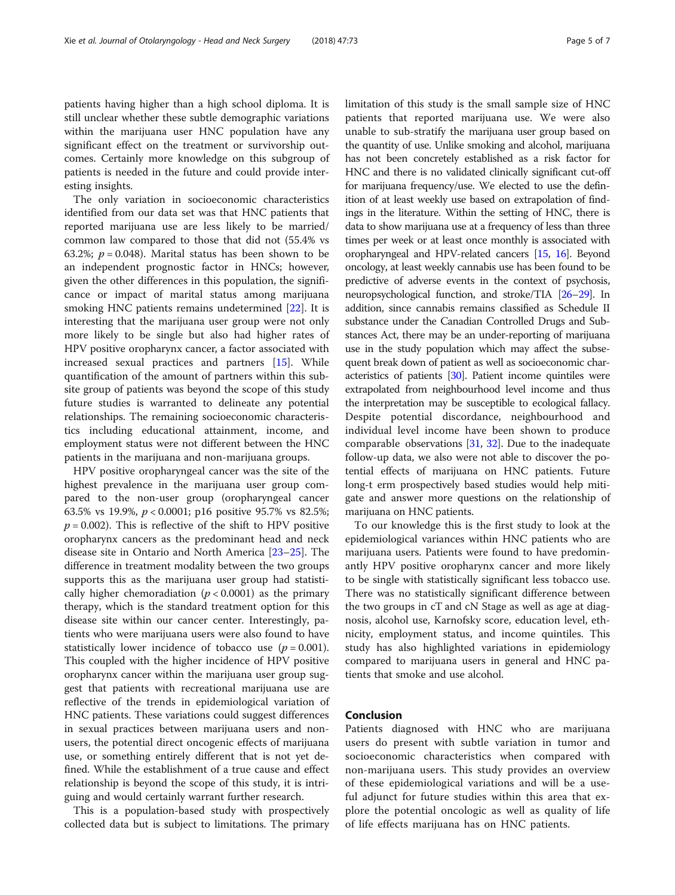patients having higher than a high school diploma. It is still unclear whether these subtle demographic variations within the marijuana user HNC population have any significant effect on the treatment or survivorship outcomes. Certainly more knowledge on this subgroup of patients is needed in the future and could provide interesting insights.

The only variation in socioeconomic characteristics identified from our data set was that HNC patients that reported marijuana use are less likely to be married/ common law compared to those that did not (55.4% vs 63.2%;  $p = 0.048$ ). Marital status has been shown to be an independent prognostic factor in HNCs; however, given the other differences in this population, the significance or impact of marital status among marijuana smoking HNC patients remains undetermined [[22](#page-5-0)]. It is interesting that the marijuana user group were not only more likely to be single but also had higher rates of HPV positive oropharynx cancer, a factor associated with increased sexual practices and partners [[15](#page-5-0)]. While quantification of the amount of partners within this subsite group of patients was beyond the scope of this study future studies is warranted to delineate any potential relationships. The remaining socioeconomic characteristics including educational attainment, income, and employment status were not different between the HNC patients in the marijuana and non-marijuana groups.

HPV positive oropharyngeal cancer was the site of the highest prevalence in the marijuana user group compared to the non-user group (oropharyngeal cancer 63.5% vs 19.9%, p < 0.0001; p16 positive 95.7% vs 82.5%;  $p = 0.002$ ). This is reflective of the shift to HPV positive oropharynx cancers as the predominant head and neck disease site in Ontario and North America [\[23](#page-5-0)–[25\]](#page-5-0). The difference in treatment modality between the two groups supports this as the marijuana user group had statistically higher chemoradiation ( $p < 0.0001$ ) as the primary therapy, which is the standard treatment option for this disease site within our cancer center. Interestingly, patients who were marijuana users were also found to have statistically lower incidence of tobacco use  $(p = 0.001)$ . This coupled with the higher incidence of HPV positive oropharynx cancer within the marijuana user group suggest that patients with recreational marijuana use are reflective of the trends in epidemiological variation of HNC patients. These variations could suggest differences in sexual practices between marijuana users and nonusers, the potential direct oncogenic effects of marijuana use, or something entirely different that is not yet defined. While the establishment of a true cause and effect relationship is beyond the scope of this study, it is intriguing and would certainly warrant further research.

This is a population-based study with prospectively collected data but is subject to limitations. The primary limitation of this study is the small sample size of HNC patients that reported marijuana use. We were also unable to sub-stratify the marijuana user group based on the quantity of use. Unlike smoking and alcohol, marijuana has not been concretely established as a risk factor for HNC and there is no validated clinically significant cut-off for marijuana frequency/use. We elected to use the definition of at least weekly use based on extrapolation of findings in the literature. Within the setting of HNC, there is data to show marijuana use at a frequency of less than three times per week or at least once monthly is associated with oropharyngeal and HPV-related cancers [\[15,](#page-5-0) [16\]](#page-5-0). Beyond oncology, at least weekly cannabis use has been found to be predictive of adverse events in the context of psychosis, neuropsychological function, and stroke/TIA [\[26](#page-5-0)–[29](#page-5-0)]. In addition, since cannabis remains classified as Schedule II substance under the Canadian Controlled Drugs and Substances Act, there may be an under-reporting of marijuana use in the study population which may affect the subsequent break down of patient as well as socioeconomic characteristics of patients [[30](#page-5-0)]. Patient income quintiles were extrapolated from neighbourhood level income and thus the interpretation may be susceptible to ecological fallacy. Despite potential discordance, neighbourhood and individual level income have been shown to produce comparable observations  $[31, 32]$  $[31, 32]$  $[31, 32]$  $[31, 32]$ . Due to the inadequate follow-up data, we also were not able to discover the potential effects of marijuana on HNC patients. Future long-t erm prospectively based studies would help mitigate and answer more questions on the relationship of marijuana on HNC patients.

To our knowledge this is the first study to look at the epidemiological variances within HNC patients who are marijuana users. Patients were found to have predominantly HPV positive oropharynx cancer and more likely to be single with statistically significant less tobacco use. There was no statistically significant difference between the two groups in cT and cN Stage as well as age at diagnosis, alcohol use, Karnofsky score, education level, ethnicity, employment status, and income quintiles. This study has also highlighted variations in epidemiology compared to marijuana users in general and HNC patients that smoke and use alcohol.

# Conclusion

Patients diagnosed with HNC who are marijuana users do present with subtle variation in tumor and socioeconomic characteristics when compared with non-marijuana users. This study provides an overview of these epidemiological variations and will be a useful adjunct for future studies within this area that explore the potential oncologic as well as quality of life of life effects marijuana has on HNC patients.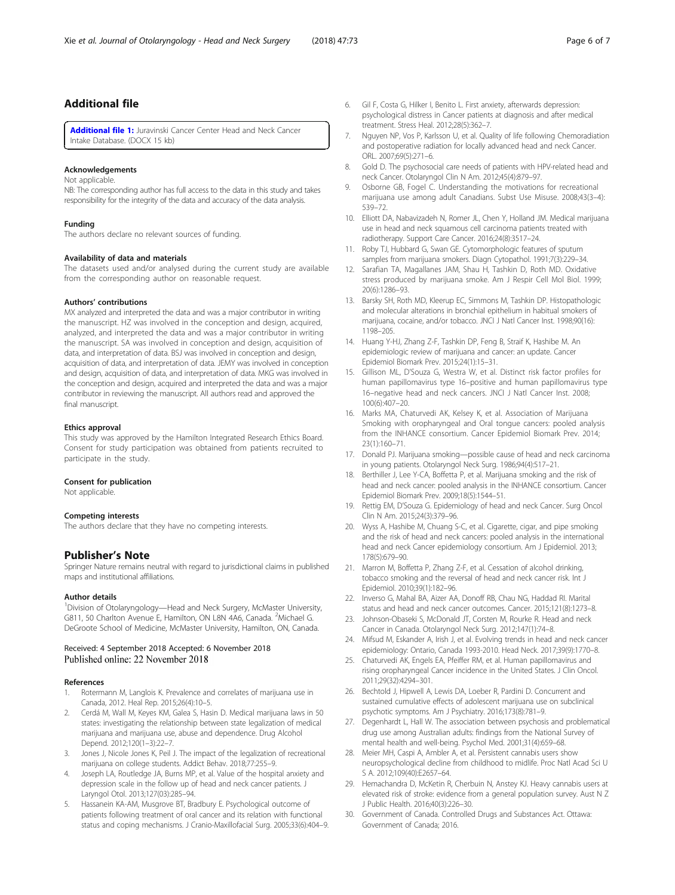# <span id="page-5-0"></span>Additional file

[Additional file 1:](https://doi.org/10.1186/s40463-018-0319-2) Juravinski Cancer Center Head and Neck Cancer Intake Database. (DOCX 15 kb)

#### Acknowledgements

Not applicable

NB: The corresponding author has full access to the data in this study and takes responsibility for the integrity of the data and accuracy of the data analysis.

#### Funding

The authors declare no relevant sources of funding.

#### Availability of data and materials

The datasets used and/or analysed during the current study are available from the corresponding author on reasonable request.

#### Authors' contributions

MX analyzed and interpreted the data and was a major contributor in writing the manuscript. HZ was involved in the conception and design, acquired, analyzed, and interpreted the data and was a major contributor in writing the manuscript. SA was involved in conception and design, acquisition of data, and interpretation of data. BSJ was involved in conception and design, acquisition of data, and interpretation of data. JEMY was involved in conception and design, acquisition of data, and interpretation of data. MKG was involved in the conception and design, acquired and interpreted the data and was a major contributor in reviewing the manuscript. All authors read and approved the final manuscript.

#### Ethics approval

This study was approved by the Hamilton Integrated Research Ethics Board. Consent for study participation was obtained from patients recruited to participate in the study.

#### Consent for publication

Not applicable.

#### Competing interests

The authors declare that they have no competing interests.

# Publisher's Note

Springer Nature remains neutral with regard to jurisdictional claims in published maps and institutional affiliations.

## Author details

<sup>1</sup> Division of Otolaryngology—Head and Neck Surgery, McMaster University, G811, 50 Charlton Avenue E, Hamilton, ON L8N 4A6, Canada. <sup>2</sup>Michael G. DeGroote School of Medicine, McMaster University, Hamilton, ON, Canada.

# Received: 4 September 2018 Accepted: 6 November 2018 Published online: 22 November 2018

#### References

- 1. Rotermann M, Langlois K. Prevalence and correlates of marijuana use in Canada, 2012. Heal Rep. 2015;26(4):10–5.
- 2. Cerdá M, Wall M, Keyes KM, Galea S, Hasin D. Medical marijuana laws in 50 states: investigating the relationship between state legalization of medical marijuana and marijuana use, abuse and dependence. Drug Alcohol Depend. 2012;120(1–3):22–7.
- 3. Jones J, Nicole Jones K, Peil J. The impact of the legalization of recreational marijuana on college students. Addict Behav. 2018;77:255–9.
- 4. Joseph LA, Routledge JA, Burns MP, et al. Value of the hospital anxiety and depression scale in the follow up of head and neck cancer patients. J Laryngol Otol. 2013;127(03):285–94.
- 5. Hassanein KA-AM, Musgrove BT, Bradbury E. Psychological outcome of patients following treatment of oral cancer and its relation with functional status and coping mechanisms. J Cranio-Maxillofacial Surg. 2005;33(6):404–9.
- 6. Gil F, Costa G, Hilker I, Benito L. First anxiety, afterwards depression: psychological distress in Cancer patients at diagnosis and after medical treatment. Stress Heal. 2012;28(5):362–7.
- 7. Nguyen NP, Vos P, Karlsson U, et al. Quality of life following Chemoradiation and postoperative radiation for locally advanced head and neck Cancer. ORL. 2007;69(5):271–6.
- 8. Gold D. The psychosocial care needs of patients with HPV-related head and neck Cancer. Otolaryngol Clin N Am. 2012;45(4):879–97.
- 9. Osborne GB, Fogel C. Understanding the motivations for recreational marijuana use among adult Canadians. Subst Use Misuse. 2008;43(3–4): 539–72.
- 10. Elliott DA, Nabavizadeh N, Romer JL, Chen Y, Holland JM. Medical marijuana use in head and neck squamous cell carcinoma patients treated with radiotherapy. Support Care Cancer. 2016;24(8):3517–24.
- 11. Roby TJ, Hubbard G, Swan GE. Cytomorphologic features of sputum samples from marijuana smokers. Diagn Cytopathol. 1991;7(3):229–34.
- 12. Sarafian TA, Magallanes JAM, Shau H, Tashkin D, Roth MD. Oxidative stress produced by marijuana smoke. Am J Respir Cell Mol Biol. 1999; 20(6):1286–93.
- 13. Barsky SH, Roth MD, Kleerup EC, Simmons M, Tashkin DP. Histopathologic and molecular alterations in bronchial epithelium in habitual smokers of marijuana, cocaine, and/or tobacco. JNCI J Natl Cancer Inst. 1998;90(16): 1198–205.
- 14. Huang Y-HJ, Zhang Z-F, Tashkin DP, Feng B, Straif K, Hashibe M. An epidemiologic review of marijuana and cancer: an update. Cancer Epidemiol Biomark Prev. 2015;24(1):15–31.
- 15. Gillison ML, D'Souza G, Westra W, et al. Distinct risk factor profiles for human papillomavirus type 16–positive and human papillomavirus type 16–negative head and neck cancers. JNCI J Natl Cancer Inst. 2008; 100(6):407–20.
- 16. Marks MA, Chaturvedi AK, Kelsey K, et al. Association of Marijuana Smoking with oropharyngeal and Oral tongue cancers: pooled analysis from the INHANCE consortium. Cancer Epidemiol Biomark Prev. 2014; 23(1):160–71.
- 17. Donald PJ. Marijuana smoking—possible cause of head and neck carcinoma in young patients. Otolaryngol Neck Surg. 1986;94(4):517–21.
- 18. Berthiller J, Lee Y-CA, Boffetta P, et al. Marijuana smoking and the risk of head and neck cancer: pooled analysis in the INHANCE consortium. Cancer Epidemiol Biomark Prev. 2009;18(5):1544–51.
- 19. Rettig EM, D'Souza G. Epidemiology of head and neck Cancer. Surg Oncol Clin N Am. 2015;24(3):379–96.
- 20. Wyss A, Hashibe M, Chuang S-C, et al. Cigarette, cigar, and pipe smoking and the risk of head and neck cancers: pooled analysis in the international head and neck Cancer epidemiology consortium. Am J Epidemiol. 2013; 178(5):679–90.
- 21. Marron M, Boffetta P, Zhang Z-F, et al. Cessation of alcohol drinking, tobacco smoking and the reversal of head and neck cancer risk. Int J Epidemiol. 2010;39(1):182–96.
- 22. Inverso G, Mahal BA, Aizer AA, Donoff RB, Chau NG, Haddad RI. Marital status and head and neck cancer outcomes. Cancer. 2015;121(8):1273–8.
- 23. Johnson-Obaseki S, McDonald JT, Corsten M, Rourke R. Head and neck Cancer in Canada. Otolaryngol Neck Surg. 2012;147(1):74–8.
- 24. Mifsud M, Eskander A, Irish J, et al. Evolving trends in head and neck cancer epidemiology: Ontario, Canada 1993-2010. Head Neck. 2017;39(9):1770–8.
- 25. Chaturvedi AK, Engels EA, Pfeiffer RM, et al. Human papillomavirus and rising oropharyngeal Cancer incidence in the United States. J Clin Oncol. 2011;29(32):4294–301.
- 26. Bechtold J, Hipwell A, Lewis DA, Loeber R, Pardini D. Concurrent and sustained cumulative effects of adolescent marijuana use on subclinical psychotic symptoms. Am J Psychiatry. 2016;173(8):781–9.
- 27. Degenhardt L, Hall W. The association between psychosis and problematical drug use among Australian adults: findings from the National Survey of mental health and well-being. Psychol Med. 2001;31(4):659–68.
- 28. Meier MH, Caspi A, Ambler A, et al. Persistent cannabis users show neuropsychological decline from childhood to midlife. Proc Natl Acad Sci U S A. 2012;109(40):E2657–64.
- 29. Hemachandra D, McKetin R, Cherbuin N, Anstey KJ. Heavy cannabis users at elevated risk of stroke: evidence from a general population survey. Aust N Z J Public Health. 2016;40(3):226–30.
- 30. Government of Canada. Controlled Drugs and Substances Act. Ottawa: Government of Canada; 2016.